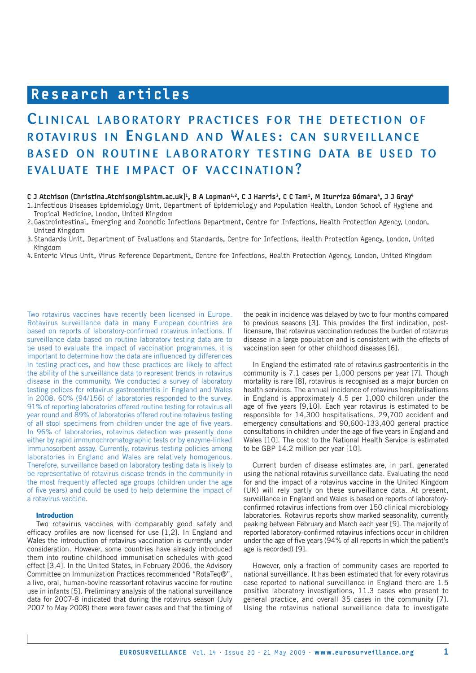# Research articles

# CLINICAL LABORATORY PRACTICES FOR THE DETECTION OF ROTAVIRUS IN ENGLAND AND WALES: CAN SURVEILLANCE BASED ON ROUTINE LABORATORY TESTING DATA BE USED TO EVALUATE THE IMPACT OF VACCINATION?

## C J Atchison (Christina.Atchison@lshtm.ac.uk)<sup>1</sup>, B A Lopman<sup>1,2</sup>, C J Harris<sup>3</sup>, C C Tam<sup>1</sup>, M Iturriza Gómara<sup>4</sup>, J J Gray<sup>4</sup>

1. Infectious Diseases Epidemiology Unit, Department of Epidemiology and Population Health, London School of Hygiene and Tropical Medicine, London, United Kingdom

2. Gastrointestinal, Emerging and Zoonotic Infections Department, Centre for Infections, Health Protection Agency, London, United Kingdom

3. Standards Unit, Department of Evaluations and Standards, Centre for Infections, Health Protection Agency, London, United Kingdom

4. Enteric Virus Unit, Virus Reference Department, Centre for Infections, Health Protection Agency, London, United Kingdom

Two rotavirus vaccines have recently been licensed in Europe. Rotavirus surveillance data in many European countries are based on reports of laboratory-confirmed rotavirus infections. If surveillance data based on routine laboratory testing data are to be used to evaluate the impact of vaccination programmes, it is important to determine how the data are influenced by differences in testing practices, and how these practices are likely to affect the ability of the surveillance data to represent trends in rotavirus disease in the community. We conducted a survey of laboratory testing polices for rotavirus gastroenteritis in England and Wales in 2008. 60% (94/156) of laboratories responded to the survey. 91% of reporting laboratories offered routine testing for rotavirus all year round and 89% of laboratories offered routine rotavirus testing of all stool specimens from children under the age of five years. In 96% of laboratories, rotavirus detection was presently done either by rapid immunochromatographic tests or by enzyme-linked immunosorbent assay. Currently, rotavirus testing policies among laboratories in England and Wales are relatively homogenous. Therefore, surveillance based on laboratory testing data is likely to be representative of rotavirus disease trends in the community in the most frequently affected age groups (children under the age of five years) and could be used to help determine the impact of a rotavirus vaccine.

## **Introduction**

Two rotavirus vaccines with comparably good safety and efficacy profiles are now licensed for use [1,2]. In England and Wales the introduction of rotavirus vaccination is currently under consideration. However, some countries have already introduced them into routine childhood immunisation schedules with good effect [3,4]. In the United States, in February 2006, the Advisory Committee on Immunization Practices recommended "RotaTeq®", a live, oral, human-bovine reassortant rotavirus vaccine for routine use in infants [5]. Preliminary analysis of the national surveillance data for 2007-8 indicated that during the rotavirus season (July 2007 to May 2008) there were fewer cases and that the timing of

the peak in incidence was delayed by two to four months compared to previous seasons [3]. This provides the first indication, postlicensure, that rotavirus vaccination reduces the burden of rotavirus disease in a large population and is consistent with the effects of vaccination seen for other childhood diseases [6].

In England the estimated rate of rotavirus gastroenteritis in the community is 7.1 cases per 1,000 persons per year [7]. Though mortality is rare [8], rotavirus is recognised as a major burden on health services. The annual incidence of rotavirus hospitalisations in England is approximately 4.5 per 1,000 children under the age of five years [9,10]. Each year rotavirus is estimated to be responsible for 14,300 hospitalisations, 29,700 accident and emergency consultations and 90,600-133,400 general practice consultations in children under the age of five years in England and Wales [10]. The cost to the National Health Service is estimated to be GBP 14.2 million per year [10].

Current burden of disease estimates are, in part, generated using the national rotavirus surveillance data. Evaluating the need for and the impact of a rotavirus vaccine in the United Kingdom (UK) will rely partly on these surveillance data. At present, surveillance in England and Wales is based on reports of laboratoryconfirmed rotavirus infections from over 150 clinical microbiology laboratories. Rotavirus reports show marked seasonality, currently peaking between February and March each year [9]. The majority of reported laboratory-confirmed rotavirus infections occur in children under the age of five years (94% of all reports in which the patient's age is recorded) [9].

However, only a fraction of community cases are reported to national surveillance. It has been estimated that for every rotavirus case reported to national surveillance in England there are 1.5 positive laboratory investigations, 11.3 cases who present to general practice, and overall 35 cases in the community [7]. Using the rotavirus national surveillance data to investigate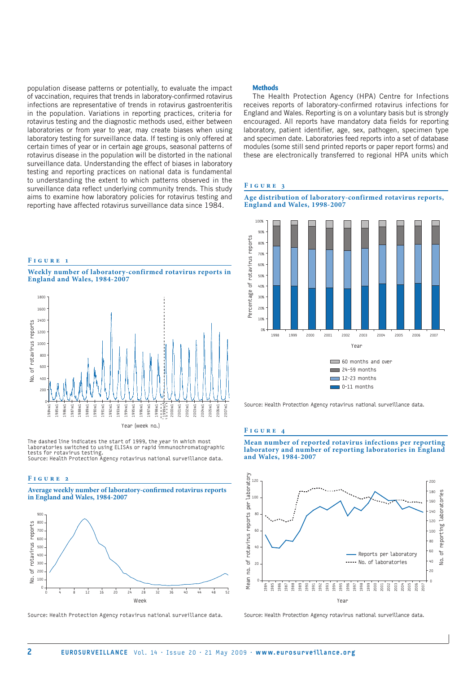population disease patterns or potentially, to evaluate the impact of vaccination, requires that trends in laboratory-confirmed rotavirus infections are representative of trends in rotavirus gastroenteritis in the population. Variations in reporting practices, criteria for rotavirus testing and the diagnostic methods used, either between laboratories or from year to year, may create biases when using laboratory testing for surveillance data. If testing is only offered at certain times of year or in certain age groups, seasonal patterns of rotavirus disease in the population will be distorted in the national surveillance data. Understanding the effect of biases in laboratory testing and reporting practices on national data is fundamental to understanding the extent to which patterns observed in the surveillance data reflect underlying community trends. This study aims to examine how laboratory policies for rotavirus testing and reporting have affected rotavirus surveillance data since 1984.

# **F i g u r e 1**

**Weekly number of laboratory-confirmed rotavirus reports in England and Wales, 1984-2007**



The dashed line indicates the start of 1999, the year in which most laboratories switched to using ELISAs or rapid immunochromatographic tests for rotavirus testing. Source: Health Protection Agency rotavirus national surveillance data.

#### **F i g u r e 2**

**Average weekly number of laboratory-confirmed rotavirus reports in England and Wales, 1984-2007**



Source: Health Protection Agency rotavirus national surveillance data.

#### **Methods**

The Health Protection Agency (HPA) Centre for Infections receives reports of laboratory-confirmed rotavirus infections for England and Wales. Reporting is on a voluntary basis but is strongly encouraged. All reports have mandatory data fields for reporting laboratory, patient identifier, age, sex, pathogen, specimen type and specimen date. Laboratories feed reports into a set of database modules (some still send printed reports or paper report forms) and these are electronically transferred to regional HPA units which

## **F i g u r e 3**





Source: Health Protection Agency rotavirus national surveillance data.

### **F i g u r e 4**

**Mean number of reported rotavirus infections per reporting laboratory and number of reporting laboratories in England and Wales, 1984-2007**



Source: Health Protection Agency rotavirus national surveillance data.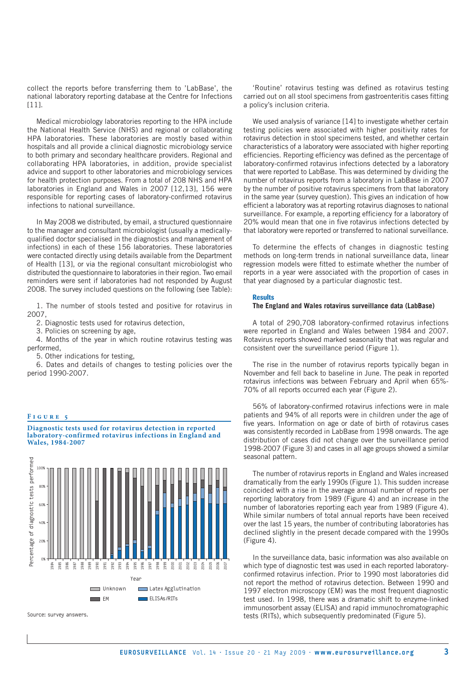collect the reports before transferring them to 'LabBase', the national laboratory reporting database at the Centre for Infections [11].

Medical microbiology laboratories reporting to the HPA include the National Health Service (NHS) and regional or collaborating HPA laboratories. These laboratories are mostly based within hospitals and all provide a clinical diagnostic microbiology service to both primary and secondary healthcare providers. Regional and collaborating HPA laboratories, in addition, provide specialist advice and support to other laboratories and microbiology services for health protection purposes. From a total of 208 NHS and HPA laboratories in England and Wales in 2007 [12,13], 156 were responsible for reporting cases of laboratory-confirmed rotavirus infections to national surveillance.

In May 2008 we distributed, by email, a structured questionnaire to the manager and consultant microbiologist (usually a medicallyqualified doctor specialised in the diagnostics and management of infections) in each of these 156 laboratories. These laboratories were contacted directly using details available from the Department of Health [13], or via the regional consultant microbiologist who distributed the questionnaire to laboratories in their region. Two email reminders were sent if laboratories had not responded by August 2008. The survey included questions on the following (see Table):

1. The number of stools tested and positive for rotavirus in 2007,

2. Diagnostic tests used for rotavirus detection,

3. Policies on screening by age,

4. Months of the year in which routine rotavirus testing was performed,

5. Other indications for testing,

6. Dates and details of changes to testing policies over the period 1990-2007.

## **F i g u r e 5**





Source: survey answers.

'Routine' rotavirus testing was defined as rotavirus testing carried out on all stool specimens from gastroenteritis cases fitting a policy's inclusion criteria.

We used analysis of variance [14] to investigate whether certain testing policies were associated with higher positivity rates for rotavirus detection in stool specimens tested, and whether certain characteristics of a laboratory were associated with higher reporting efficiencies. Reporting efficiency was defined as the percentage of laboratory-confirmed rotavirus infections detected by a laboratory that were reported to LabBase. This was determined by dividing the number of rotavirus reports from a laboratory in LabBase in 2007 by the number of positive rotavirus specimens from that laboratory in the same year (survey question). This gives an indication of how efficient a laboratory was at reporting rotavirus diagnoses to national surveillance. For example, a reporting efficiency for a laboratory of 20% would mean that one in five rotavirus infections detected by that laboratory were reported or transferred to national surveillance.

To determine the effects of changes in diagnostic testing methods on long-term trends in national surveillance data, linear regression models were fitted to estimate whether the number of reports in a year were associated with the proportion of cases in that year diagnosed by a particular diagnostic test.

## **Results**

## **The England and Wales rotavirus surveillance data (LabBase)**

A total of 290,708 laboratory-confirmed rotavirus infections were reported in England and Wales between 1984 and 2007. Rotavirus reports showed marked seasonality that was regular and consistent over the surveillance period (Figure 1).

The rise in the number of rotavirus reports typically began in November and fell back to baseline in June. The peak in reported rotavirus infections was between February and April when 65%- 70% of all reports occurred each year (Figure 2).

56% of laboratory-confirmed rotavirus infections were in male patients and 94% of all reports were in children under the age of five years. Information on age or date of birth of rotavirus cases was consistently recorded in LabBase from 1998 onwards. The age distribution of cases did not change over the surveillance period 1998-2007 (Figure 3) and cases in all age groups showed a similar seasonal pattern.

The number of rotavirus reports in England and Wales increased dramatically from the early 1990s (Figure 1). This sudden increase coincided with a rise in the average annual number of reports per reporting laboratory from 1989 (Figure 4) and an increase in the number of laboratories reporting each year from 1989 (Figure 4). While similar numbers of total annual reports have been received over the last 15 years, the number of contributing laboratories has declined slightly in the present decade compared with the 1990s (Figure 4).

In the surveillance data, basic information was also available on which type of diagnostic test was used in each reported laboratoryconfirmed rotavirus infection. Prior to 1990 most laboratories did not report the method of rotavirus detection. Between 1990 and 1997 electron microscopy (EM) was the most frequent diagnostic test used. In 1998, there was a dramatic shift to enzyme-linked immunosorbent assay (ELISA) and rapid immunochromatographic tests (RITs), which subsequently predominated (Figure 5).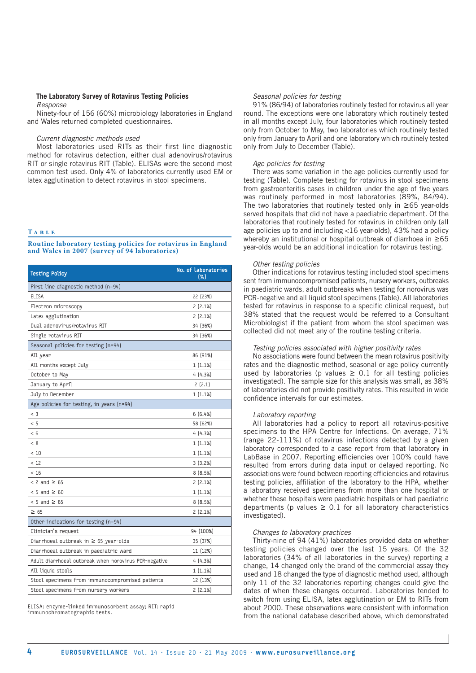# **The Laboratory Survey of Rotavirus Testing Policies**

*Response*

Ninety-four of 156 (60%) microbiology laboratories in England and Wales returned completed questionnaires.

## *Current diagnostic methods used*

Most laboratories used RITs as their first line diagnostic method for rotavirus detection, either dual adenovirus/rotavirus RIT or single rotavirus RIT (Table). ELISAs were the second most common test used. Only 4% of laboratories currently used EM or latex agglutination to detect rotavirus in stool specimens.

## **T a b l e**

| Routine laboratory testing policies for rotavirus in England |  |  |  |
|--------------------------------------------------------------|--|--|--|
| and Wales in 2007 (survey of 94 laboratories)                |  |  |  |

| <b>Testing Policy</b>                                 | No. of Laboratories<br>$(\% )$ |  |  |
|-------------------------------------------------------|--------------------------------|--|--|
| First line diagnostic method (n=94)                   |                                |  |  |
| <b>ELISA</b>                                          | 22 (23%)                       |  |  |
| Electron microscopy                                   | 2(2.1%)                        |  |  |
| Latex agglutination                                   | 2(2.1%)                        |  |  |
| Dual adenovirus/rotavirus RIT                         | 34 (36%)                       |  |  |
| Single rotavirus RIT                                  | 34 (36%)                       |  |  |
| Seasonal policies for testing (n=94)                  |                                |  |  |
| All year                                              | 86 (91%)                       |  |  |
| All months except July                                | 1(1.1%)                        |  |  |
| October to May                                        | 4(4.3%)                        |  |  |
| January to April                                      | 2(2.1)                         |  |  |
| July to December                                      | 1(1.1%)                        |  |  |
| Age policies for testing, in years (n=94)             |                                |  |  |
| $<$ 3                                                 | 6(6.4%)                        |  |  |
| < 5                                                   | 58 (62%)                       |  |  |
| < 6                                                   | 4(4.3%)                        |  |  |
| < 8                                                   | 1(1.1%)                        |  |  |
| < 10                                                  | 1(1.1%)                        |  |  |
| < 12                                                  | 3(3.2%)                        |  |  |
| < 16                                                  | 8(8.5%)                        |  |  |
| $< 2$ and $\geq 65$                                   | 2(2.1%)                        |  |  |
| $< 5$ and $\geq 60$                                   | 1(1.1%)                        |  |  |
| $< 5$ and $\geq 65$                                   | 8(8.5%)                        |  |  |
| $\geq 65$                                             | 2(2.1%)                        |  |  |
| Other indications for testing (n=94)                  |                                |  |  |
| Clinician's request                                   | 94 (100%)                      |  |  |
| Diarrhoeal outbreak in ≥ 65 year-olds                 | 35 (37%)                       |  |  |
| Diarrhoeal outbreak in paediatric ward                | 11 (12%)                       |  |  |
| Adult diarrhoeal outbreak when norovirus PCR-negative | 4(4.3%)                        |  |  |
| All liquid stools                                     | 1(1.1%)                        |  |  |
| Stool specimens from immunocompromised patients       | 12 (13%)                       |  |  |
| Stool specimens from nursery workers                  | 2(2.1%)                        |  |  |

ELISA: enzyme-linked immunosorbent assay; RIT: rapid immunochromatographic tests.

## *Seasonal policies for testing*

91% (86/94) of laboratories routinely tested for rotavirus all year round. The exceptions were one laboratory which routinely tested in all months except July, four laboratories which routinely tested only from October to May, two laboratories which routinely tested only from January to April and one laboratory which routinely tested only from July to December (Table).

## *Age policies for testing*

There was some variation in the age policies currently used for testing (Table). Complete testing for rotavirus in stool specimens from gastroenteritis cases in children under the age of five years was routinely performed in most laboratories (89%, 84/94). The two laboratories that routinely tested only in ≥65 year-olds served hospitals that did not have a paediatric department. Of the laboratories that routinely tested for rotavirus in children only (all age policies up to and including <16 year-olds), 43% had a policy whereby an institutional or hospital outbreak of diarrhoea in ≥65 year-olds would be an additional indication for rotavirus testing.

## *Other testing policies*

Other indications for rotavirus testing included stool specimens sent from immunocompromised patients, nursery workers, outbreaks in paediatric wards, adult outbreaks when testing for norovirus was PCR-negative and all liquid stool specimens (Table). All laboratories tested for rotavirus in response to a specific clinical request, but 38% stated that the request would be referred to a Consultant Microbiologist if the patient from whom the stool specimen was collected did not meet any of the routine testing criteria.

## *Testing policies associated with higher positivity rates*

No associations were found between the mean rotavirus positivity rates and the diagnostic method, seasonal or age policy currently used by laboratories (p values  $\geq$  0.1 for all testing policies investigated). The sample size for this analysis was small, as 38% of laboratories did not provide positivity rates. This resulted in wide confidence intervals for our estimates.

## *Laboratory reporting*

All laboratories had a policy to report all rotavirus-positive specimens to the HPA Centre for Infections. On average, 71% (range 22-111%) of rotavirus infections detected by a given laboratory corresponded to a case report from that laboratory in LabBase in 2007. Reporting efficiencies over 100% could have resulted from errors during data input or delayed reporting. No associations were found between reporting efficiencies and rotavirus testing policies, affiliation of the laboratory to the HPA, whether a laboratory received specimens from more than one hospital or whether these hospitals were paediatric hospitals or had paediatric departments (p values  $\geq$  0.1 for all laboratory characteristics investigated).

## *Changes to laboratory practices*

Thirty-nine of 94 (41%) laboratories provided data on whether testing policies changed over the last 15 years. Of the 32 laboratories (34% of all laboratories in the survey) reporting a change, 14 changed only the brand of the commercial assay they used and 18 changed the type of diagnostic method used, although only 11 of the 32 laboratories reporting changes could give the dates of when these changes occurred. Laboratories tended to switch from using ELISA, latex agglutination or EM to RITs from about 2000. These observations were consistent with information from the national database described above, which demonstrated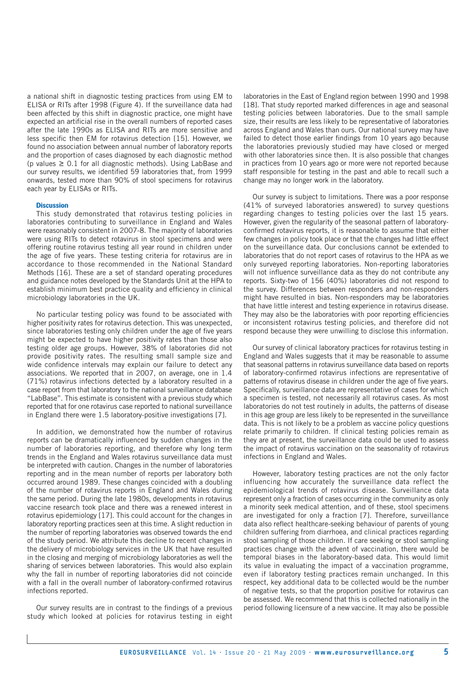a national shift in diagnostic testing practices from using EM to ELISA or RITs after 1998 (Figure 4). If the surveillance data had been affected by this shift in diagnostic practice, one might have expected an artificial rise in the overall numbers of reported cases after the late 1990s as ELISA and RITs are more sensitive and less specific then EM for rotavirus detection [15]. However, we found no association between annual number of laboratory reports and the proportion of cases diagnosed by each diagnostic method (p values  $\geq 0.1$  for all diagnostic methods). Using LabBase and our survey results, we identified 59 laboratories that, from 1999 onwards, tested more than 90% of stool specimens for rotavirus each year by ELISAs or RITs.

## **Discussion**

This study demonstrated that rotavirus testing policies in laboratories contributing to surveillance in England and Wales were reasonably consistent in 2007-8. The majority of laboratories were using RITs to detect rotavirus in stool specimens and were offering routine rotavirus testing all year round in children under the age of five years. These testing criteria for rotavirus are in accordance to those recommended in the National Standard Methods [16]. These are a set of standard operating procedures and guidance notes developed by the Standards Unit at the HPA to establish minimum best practice quality and efficiency in clinical microbiology laboratories in the UK.

No particular testing policy was found to be associated with higher positivity rates for rotavirus detection. This was unexpected, since laboratories testing only children under the age of five years might be expected to have higher positivity rates than those also testing older age groups. However, 38% of laboratories did not provide positivity rates. The resulting small sample size and wide confidence intervals may explain our failure to detect any associations. We reported that in 2007, on average, one in 1.4 (71%) rotavirus infections detected by a laboratory resulted in a case report from that laboratory to the national surveillance database "LabBase". This estimate is consistent with a previous study which reported that for one rotavirus case reported to national surveillance in England there were 1.5 laboratory-positive investigations [7].

In addition, we demonstrated how the number of rotavirus reports can be dramatically influenced by sudden changes in the number of laboratories reporting, and therefore why long term trends in the England and Wales rotavirus surveillance data must be interpreted with caution. Changes in the number of laboratories reporting and in the mean number of reports per laboratory both occurred around 1989. These changes coincided with a doubling of the number of rotavirus reports in England and Wales during the same period. During the late 1980s, developments in rotavirus vaccine research took place and there was a renewed interest in rotavirus epidemiology [17]. This could account for the changes in laboratory reporting practices seen at this time. A slight reduction in the number of reporting laboratories was observed towards the end of the study period. We attribute this decline to recent changes in the delivery of microbiology services in the UK that have resulted in the closing and merging of microbiology laboratories as well the sharing of services between laboratories. This would also explain why the fall in number of reporting laboratories did not coincide with a fall in the overall number of laboratory-confirmed rotavirus infections reported.

Our survey results are in contrast to the findings of a previous study which looked at policies for rotavirus testing in eight

laboratories in the East of England region between 1990 and 1998 [18]. That study reported marked differences in age and seasonal testing policies between laboratories. Due to the small sample size, their results are less likely to be representative of laboratories across England and Wales than ours. Our national survey may have failed to detect those earlier findings from 10 years ago because the laboratories previously studied may have closed or merged with other laboratories since then. It is also possible that changes in practices from 10 years ago or more were not reported because staff responsible for testing in the past and able to recall such a change may no longer work in the laboratory.

Our survey is subject to limitations. There was a poor response (41% of surveyed laboratories answered) to survey questions regarding changes to testing policies over the last 15 years. However, given the regularity of the seasonal pattern of laboratoryconfirmed rotavirus reports, it is reasonable to assume that either few changes in policy took place or that the changes had little effect on the surveillance data. Our conclusions cannot be extended to laboratories that do not report cases of rotavirus to the HPA as we only surveyed reporting laboratories. Non-reporting laboratories will not influence surveillance data as they do not contribute any reports. Sixty-two of 156 (40%) laboratories did not respond to the survey. Differences between responders and non-responders might have resulted in bias. Non-responders may be laboratories that have little interest and testing experience in rotavirus disease. They may also be the laboratories with poor reporting efficiencies or inconsistent rotavirus testing policies, and therefore did not respond because they were unwilling to disclose this information.

Our survey of clinical laboratory practices for rotavirus testing in England and Wales suggests that it may be reasonable to assume that seasonal patterns in rotavirus surveillance data based on reports of laboratory-confirmed rotavirus infections are representative of patterns of rotavirus disease in children under the age of five years. Specifically, surveillance data are representative of cases for which a specimen is tested, not necessarily all rotavirus cases. As most laboratories do not test routinely in adults, the patterns of disease in this age group are less likely to be represented in the surveillance data. This is not likely to be a problem as vaccine policy questions relate primarily to children. If clinical testing policies remain as they are at present, the surveillance data could be used to assess the impact of rotavirus vaccination on the seasonality of rotavirus infections in England and Wales.

However, laboratory testing practices are not the only factor influencing how accurately the surveillance data reflect the epidemiological trends of rotavirus disease. Surveillance data represent only a fraction of cases occurring in the community as only a minority seek medical attention, and of these, stool specimens are investigated for only a fraction [7]. Therefore, surveillance data also reflect healthcare-seeking behaviour of parents of young children suffering from diarrhoea, and clinical practices regarding stool sampling of those children. If care seeking or stool sampling practices change with the advent of vaccination, there would be temporal biases in the laboratory-based data. This would limit its value in evaluating the impact of a vaccination programme, even if laboratory testing practices remain unchanged. In this respect, key additional data to be collected would be the number of negative tests, so that the proportion positive for rotavirus can be assessed. We recommend that this is collected nationally in the period following licensure of a new vaccine. It may also be possible